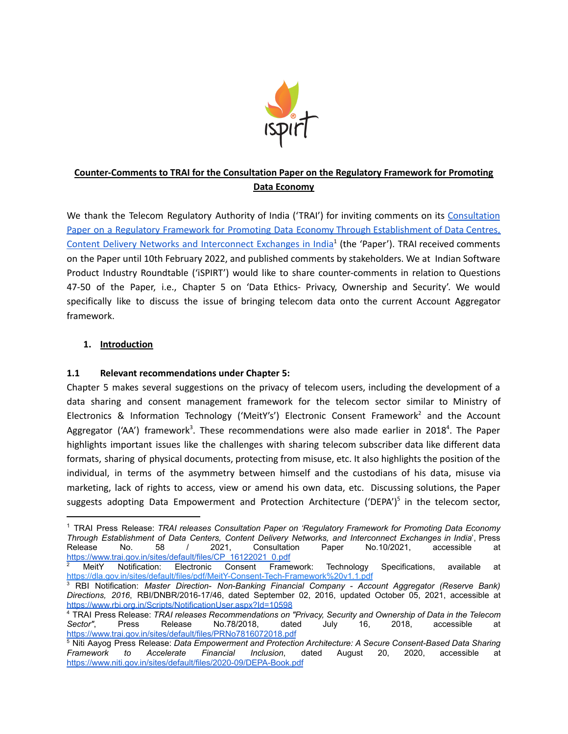

# **Counter-Comments to TRAI for the Consultation Paper on the Regulatory Framework for Promoting Data Economy**

We thank the Telecom Regulatory Authority of India ('TRAI') for inviting comments on its [Consultation](https://www.trai.gov.in/sites/default/files/CP_16122021_0.pdf) Paper on a Regulatory Framework for Promoting Data Economy Through [Establishment](https://www.trai.gov.in/sites/default/files/CP_16122021_0.pdf) of Data Centres, Content Delivery Networks and [Interconnect](https://www.trai.gov.in/sites/default/files/CP_16122021_0.pdf) Exchanges in India<sup>1</sup> (the 'Paper'). TRAI received comments on the Paper until 10th February 2022, and published comments by stakeholders. We at Indian Software Product Industry Roundtable ('iSPIRT') would like to share counter-comments in relation to Questions 47-50 of the Paper, i.e., Chapter 5 on 'Data Ethics- Privacy, Ownership and Security'. We would specifically like to discuss the issue of bringing telecom data onto the current Account Aggregator framework.

## **1. Introduction**

### **1.1 Relevant recommendations under Chapter 5:**

Chapter 5 makes several suggestions on the privacy of telecom users, including the development of a data sharing and consent management framework for the telecom sector similar to Ministry of Electronics & Information Technology ('MeitY's') Electronic Consent Framework<sup>2</sup> and the Account Aggregator ('AA') framework<sup>3</sup>. These recommendations were also made earlier in 2018<sup>4</sup>. The Paper highlights important issues like the challenges with sharing telecom subscriber data like different data formats, sharing of physical documents, protecting from misuse, etc. It also highlights the position of the individual, in terms of the asymmetry between himself and the custodians of his data, misuse via marketing, lack of rights to access, view or amend his own data, etc. Discussing solutions, the Paper suggests adopting Data Empowerment and Protection Architecture ('DEPA')<sup>5</sup> in the telecom sector,

<sup>1</sup> TRAI Press Release: *TRAI releases Consultation Paper on 'Regulatory Framework for Promoting Data Economy Through Establishment of Data Centers, Content Delivery Networks, and Interconnect Exchanges in India*', Press Release No. 58 / 2021, Consultation Paper No.10/2021, accessible at [https://www.trai.gov.in/sites/default/files/CP\\_16122021\\_0.pdf](https://www.trai.gov.in/sites/default/files/CP_16122021_0.pdf)

<sup>2</sup> MeitY Notification: Electronic Consent Framework: Technology Specifications, available at <https://dla.gov.in/sites/default/files/pdf/MeitY-Consent-Tech-Framework%20v1.1.pdf>

<sup>3</sup> RBI Notification: *Master Direction- Non-Banking Financial Company - Account Aggregator (Reserve Bank) Directions, 2016*, RBI/DNBR/2016-17/46, dated September 02, 2016, updated October 05, 2021, accessible at <https://www.rbi.org.in/Scripts/NotificationUser.aspx?Id=10598>

<sup>4</sup> TRAI Press Release: *TRAI releases Recommendations on "Privacy, Security and Ownership of Data in the Telecom Sector"*, Press Release No.78/2018, dated July 16, 2018, accessible at <https://www.trai.gov.in/sites/default/files/PRNo7816072018.pdf>

<sup>5</sup> Niti Aayog Press Release: *Data Empowerment and Protection Architecture: A Secure Consent-Based Data Sharing Framework to Accelerate Financial Inclusion*, dated August 20, 2020, accessible at <https://www.niti.gov.in/sites/default/files/2020-09/DEPA-Book.pdf>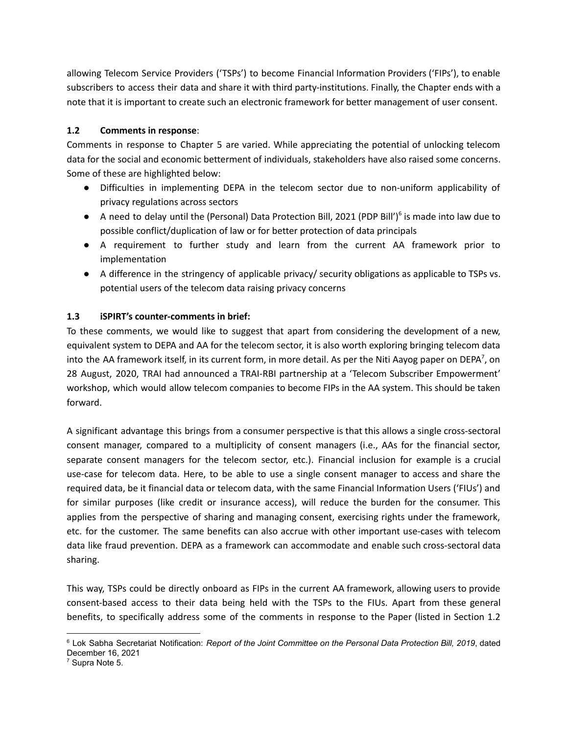allowing Telecom Service Providers ('TSPs') to become Financial Information Providers ('FIPs'), to enable subscribers to access their data and share it with third party-institutions. Finally, the Chapter ends with a note that it is important to create such an electronic framework for better management of user consent.

#### **1.2 Comments in response**:

Comments in response to Chapter 5 are varied. While appreciating the potential of unlocking telecom data for the social and economic betterment of individuals, stakeholders have also raised some concerns. Some of these are highlighted below:

- Difficulties in implementing DEPA in the telecom sector due to non-uniform applicability of privacy regulations across sectors
- A need to delay until the (Personal) Data Protection Bill, 2021 (PDP Bill')<sup>6</sup> is made into law due to possible conflict/duplication of law or for better protection of data principals
- A requirement to further study and learn from the current AA framework prior to implementation
- A difference in the stringency of applicable privacy/ security obligations as applicable to TSPs vs. potential users of the telecom data raising privacy concerns

#### **1.3 iSPIRT's counter-comments in brief:**

To these comments, we would like to suggest that apart from considering the development of a new, equivalent system to DEPA and AA for the telecom sector, it is also worth exploring bringing telecom data into the AA framework itself, in its current form, in more detail. As per the Niti Aayog paper on DEPA<sup>7</sup>, on 28 August, 2020, TRAI had announced a TRAI-RBI partnership at a 'Telecom Subscriber Empowerment' workshop, which would allow telecom companies to become FIPs in the AA system. This should be taken forward.

A significant advantage this brings from a consumer perspective is that this allows a single cross-sectoral consent manager, compared to a multiplicity of consent managers (i.e., AAs for the financial sector, separate consent managers for the telecom sector, etc.). Financial inclusion for example is a crucial use-case for telecom data. Here, to be able to use a single consent manager to access and share the required data, be it financial data or telecom data, with the same Financial Information Users ('FIUs') and for similar purposes (like credit or insurance access), will reduce the burden for the consumer. This applies from the perspective of sharing and managing consent, exercising rights under the framework, etc. for the customer. The same benefits can also accrue with other important use-cases with telecom data like fraud prevention. DEPA as a framework can accommodate and enable such cross-sectoral data sharing.

This way, TSPs could be directly onboard as FIPs in the current AA framework, allowing users to provide consent-based access to their data being held with the TSPs to the FIUs. Apart from these general benefits, to specifically address some of the comments in response to the Paper (listed in Section 1.2

<sup>6</sup> Lok Sabha Secretariat Notification: *Report of the Joint Committee on the Personal Data Protection Bill, 2019*, dated December 16, 2021

<sup>7</sup> Supra Note 5.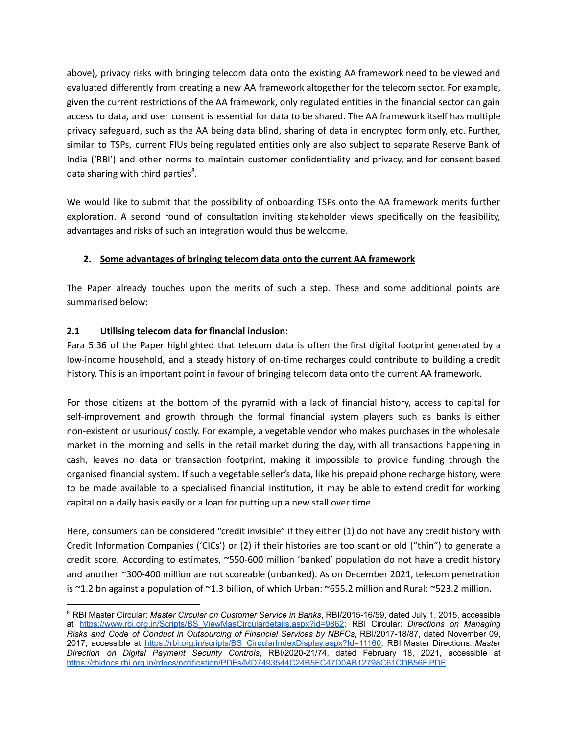above), privacy risks with bringing telecom data onto the existing AA framework need to be viewed and evaluated differently from creating a new AA framework altogether for the telecom sector. For example, given the current restrictions of the AA framework, only regulated entities in the financial sector can gain access to data, and user consent is essential for data to be shared. The AA framework itself has multiple privacy safeguard, such as the AA being data blind, sharing of data in encrypted form only, etc. Further, similar to TSPs, current FIUs being regulated entities only are also subject to separate Reserve Bank of India ('RBI') and other norms to maintain customer confidentiality and privacy, and for consent based data sharing with third parties<sup>8</sup>.

We would like to submit that the possibility of onboarding TSPs onto the AA framework merits further exploration. A second round of consultation inviting stakeholder views specifically on the feasibility, advantages and risks of such an integration would thus be welcome.

## **2. Some advantages of bringing telecom data onto the current AA framework**

The Paper already touches upon the merits of such a step. These and some additional points are summarised below:

## **2.1 Utilising telecom data for financial inclusion:**

Para 5.36 of the Paper highlighted that telecom data is often the first digital footprint generated by a low-income household, and a steady history of on-time recharges could contribute to building a credit history. This is an important point in favour of bringing telecom data onto the current AA framework.

For those citizens at the bottom of the pyramid with a lack of financial history, access to capital for self-improvement and growth through the formal financial system players such as banks is either non-existent or usurious/ costly. For example, a vegetable vendor who makes purchases in the wholesale market in the morning and sells in the retail market during the day, with all transactions happening in cash, leaves no data or transaction footprint, making it impossible to provide funding through the organised financial system. If such a vegetable seller's data, like his prepaid phone recharge history, were to be made available to a specialised financial institution, it may be able to extend credit for working capital on a daily basis easily or a loan for putting up a new stall over time.

Here, consumers can be considered "credit invisible" if they either (1) do not have any credit history with Credit Information Companies ('CICs') or (2) if their histories are too scant or old ("thin") to generate a credit score. According to estimates, ~550-600 million 'banked' population do not have a credit history and another ~300-400 million are not scoreable (unbanked). As on December 2021, telecom penetration is ~1.2 bn against a population of ~1.3 billion, of which Urban: ~655.2 million and Rural: ~523.2 million.

<sup>8</sup> RBI Master Circular: *Master Circular on Customer Service in Banks*, RBI/2015-16/59, dated July 1, 2015, accessible at [https://www.rbi.org.in/Scripts/BS\\_ViewMasCirculardetails.aspx?id=9862;](https://www.rbi.org.in/Scripts/BS_ViewMasCirculardetails.aspx?id=9862) RBI Circular: *Directions on Managing Risks and Code of Conduct in Outsourcing of Financial Services by NBFCs*, RBI/2017-18/87, dated November 09, 2017, accessible at [https://rbi.org.in/scripts/BS\\_CircularIndexDisplay.aspx?Id=11160;](https://rbi.org.in/scripts/BS_CircularIndexDisplay.aspx?Id=11160) RBI Master Directions: *Master Direction on Digital Payment Security Controls*, RBI/2020-21/74, dated February 18, 2021, accessible at <https://rbidocs.rbi.org.in/rdocs/notification/PDFs/MD7493544C24B5FC47D0AB12798C61CDB56F.PDF>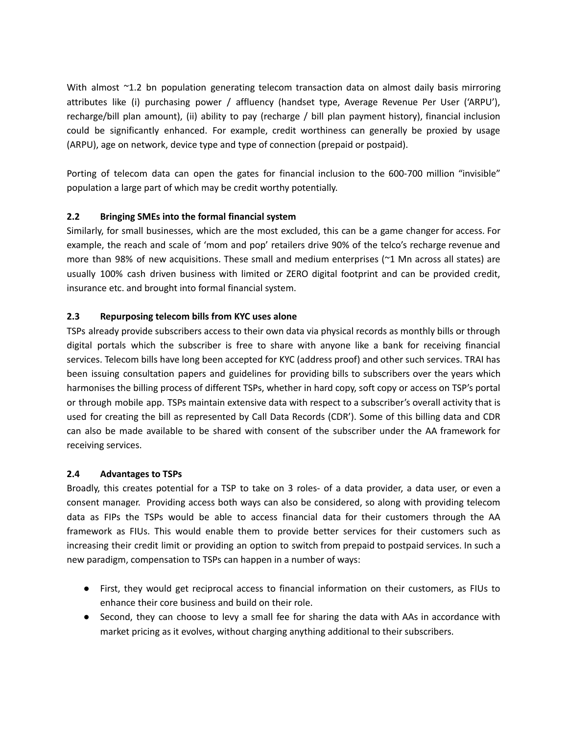With almost ~1.2 bn population generating telecom transaction data on almost daily basis mirroring attributes like (i) purchasing power / affluency (handset type, Average Revenue Per User ('ARPU'), recharge/bill plan amount), (ii) ability to pay (recharge / bill plan payment history), financial inclusion could be significantly enhanced. For example, credit worthiness can generally be proxied by usage (ARPU), age on network, device type and type of connection (prepaid or postpaid).

Porting of telecom data can open the gates for financial inclusion to the 600-700 million "invisible" population a large part of which may be credit worthy potentially.

### **2.2 Bringing SMEs into the formal financial system**

Similarly, for small businesses, which are the most excluded, this can be a game changer for access. For example, the reach and scale of 'mom and pop' retailers drive 90% of the telco's recharge revenue and more than 98% of new acquisitions. These small and medium enterprises (~1 Mn across all states) are usually 100% cash driven business with limited or ZERO digital footprint and can be provided credit, insurance etc. and brought into formal financial system.

### **2.3 Repurposing telecom bills from KYC uses alone**

TSPs already provide subscribers access to their own data via physical records as monthly bills or through digital portals which the subscriber is free to share with anyone like a bank for receiving financial services. Telecom bills have long been accepted for KYC (address proof) and other such services. TRAI has been issuing consultation papers and guidelines for providing bills to subscribers over the years which harmonises the billing process of different TSPs, whether in hard copy, soft copy or access on TSP's portal or through mobile app. TSPs maintain extensive data with respect to a subscriber's overall activity that is used for creating the bill as represented by Call Data Records (CDR'). Some of this billing data and CDR can also be made available to be shared with consent of the subscriber under the AA framework for receiving services.

### **2.4 Advantages to TSPs**

Broadly, this creates potential for a TSP to take on 3 roles- of a data provider, a data user, or even a consent manager. Providing access both ways can also be considered, so along with providing telecom data as FIPs the TSPs would be able to access financial data for their customers through the AA framework as FIUs. This would enable them to provide better services for their customers such as increasing their credit limit or providing an option to switch from prepaid to postpaid services. In such a new paradigm, compensation to TSPs can happen in a number of ways:

- First, they would get reciprocal access to financial information on their customers, as FIUs to enhance their core business and build on their role.
- Second, they can choose to levy a small fee for sharing the data with AAs in accordance with market pricing as it evolves, without charging anything additional to their subscribers.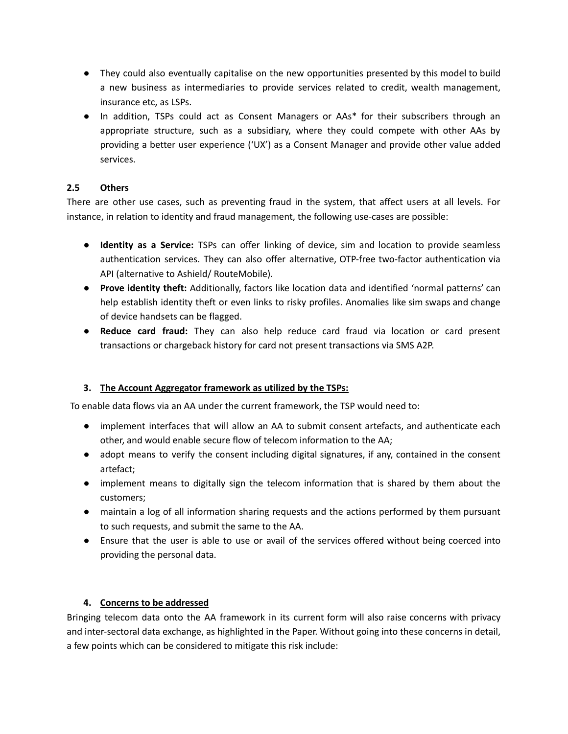- They could also eventually capitalise on the new opportunities presented by this model to build a new business as intermediaries to provide services related to credit, wealth management, insurance etc, as LSPs.
- In addition, TSPs could act as Consent Managers or AAs\* for their subscribers through an appropriate structure, such as a subsidiary, where they could compete with other AAs by providing a better user experience ('UX') as a Consent Manager and provide other value added services.

## **2.5 Others**

There are other use cases, such as preventing fraud in the system, that affect users at all levels. For instance, in relation to identity and fraud management, the following use-cases are possible:

- **Identity as a Service:** TSPs can offer linking of device, sim and location to provide seamless authentication services. They can also offer alternative, OTP-free two-factor authentication via API (alternative to Ashield/ RouteMobile).
- **Prove identity theft:** Additionally, factors like location data and identified 'normal patterns' can help establish identity theft or even links to risky profiles. Anomalies like sim swaps and change of device handsets can be flagged.
- **Reduce card fraud:** They can also help reduce card fraud via location or card present transactions or chargeback history for card not present transactions via SMS A2P.

### **3. The Account Aggregator framework as utilized by the TSPs:**

To enable data flows via an AA under the current framework, the TSP would need to:

- implement interfaces that will allow an AA to submit consent artefacts, and authenticate each other, and would enable secure flow of telecom information to the AA;
- adopt means to verify the consent including digital signatures, if any, contained in the consent artefact;
- implement means to digitally sign the telecom information that is shared by them about the customers;
- maintain a log of all information sharing requests and the actions performed by them pursuant to such requests, and submit the same to the AA.
- Ensure that the user is able to use or avail of the services offered without being coerced into providing the personal data.

### **4. Concerns to be addressed**

Bringing telecom data onto the AA framework in its current form will also raise concerns with privacy and inter-sectoral data exchange, as highlighted in the Paper. Without going into these concerns in detail, a few points which can be considered to mitigate this risk include: